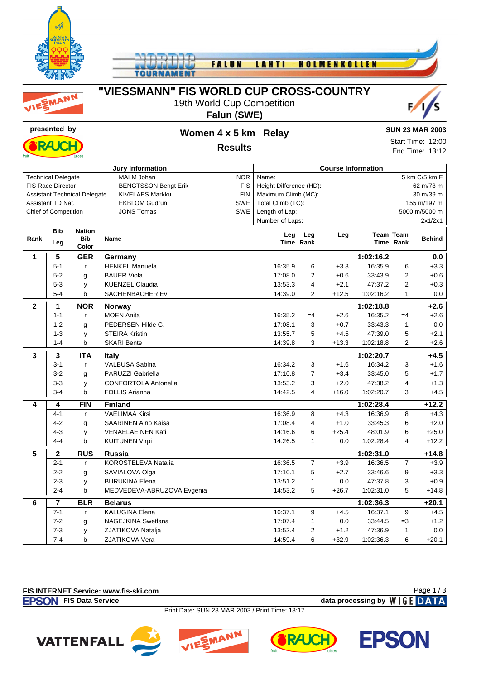

MANN



## **"VIESSMANN" FIS WORLD CUP CROSS-COUNTRY**

19th World Cup Competition

#### **Falun (SWE)**





Start Time: 12:00 End Time: 13:12

**Results**

| <b>Jury Information</b>                                                     |                             |               |                                 |  | <b>Course Information</b>            |                                  |         |                  |                |               |  |  |  |
|-----------------------------------------------------------------------------|-----------------------------|---------------|---------------------------------|--|--------------------------------------|----------------------------------|---------|------------------|----------------|---------------|--|--|--|
| <b>MALM Johan</b><br><b>NOR</b><br><b>Technical Delegate</b>                |                             |               |                                 |  | 5 km C/5 km F<br>Name:               |                                  |         |                  |                |               |  |  |  |
| <b>FIS Race Director</b><br><b>BENGTSSON Bengt Erik</b><br><b>FIS</b>       |                             |               |                                 |  | Height Difference (HD):<br>62 m/78 m |                                  |         |                  |                |               |  |  |  |
| <b>FIN</b><br><b>Assistant Technical Delegate</b><br><b>KIVELAES Markku</b> |                             |               |                                 |  | Maximum Climb (MC):<br>30 m/39 m     |                                  |         |                  |                |               |  |  |  |
| SWE<br>Assistant TD Nat.<br><b>EKBLOM Gudrun</b>                            |                             |               |                                 |  |                                      | Total Climb (TC):<br>155 m/197 m |         |                  |                |               |  |  |  |
|                                                                             | <b>Chief of Competition</b> |               | <b>SWE</b><br><b>JONS Tomas</b> |  | Length of Lap:                       |                                  |         |                  |                | 5000 m/5000 m |  |  |  |
|                                                                             |                             |               |                                 |  | Number of Laps:                      |                                  |         |                  |                | 2x1/2x1       |  |  |  |
|                                                                             | <b>Bib</b>                  | <b>Nation</b> |                                 |  | Leg                                  | Leg                              | Leg     | <b>Team Team</b> |                |               |  |  |  |
| Rank                                                                        | Leg                         | <b>Bib</b>    | <b>Name</b>                     |  |                                      | Time Rank                        |         |                  | Time Rank      | <b>Behind</b> |  |  |  |
|                                                                             |                             | Color         |                                 |  |                                      |                                  |         |                  |                |               |  |  |  |
| 1                                                                           | 5                           | <b>GER</b>    | Germany                         |  |                                      |                                  |         | 1:02:16.2        |                | 0.0           |  |  |  |
|                                                                             | $5 - 1$                     | $\mathsf{r}$  | <b>HENKEL Manuela</b>           |  | 16:35.9                              | 6                                | $+3.3$  | 16:35.9          | 6              | $+3.3$        |  |  |  |
|                                                                             | $5 - 2$                     | g             | <b>BAUER Viola</b>              |  | 17:08.0                              | $\overline{2}$                   | $+0.6$  | 33:43.9          | 2              | $+0.6$        |  |  |  |
|                                                                             | $5 - 3$                     | у             | <b>KUENZEL Claudia</b>          |  | 13:53.3                              | 4                                | $+2.1$  | 47:37.2          | 2              | $+0.3$        |  |  |  |
|                                                                             | $5 - 4$                     | b             | <b>SACHENBACHER Evi</b>         |  | 14:39.0                              | $\overline{2}$                   | $+12.5$ | 1:02:16.2        | 1              | 0.0           |  |  |  |
| $\mathbf{2}$                                                                | 1                           | <b>NOR</b>    | Norway                          |  |                                      |                                  |         | 1:02:18.8        |                | $+2.6$        |  |  |  |
|                                                                             | $1 - 1$                     | r             | <b>MOEN Anita</b>               |  | 16:35.2                              | $=4$                             | $+2.6$  | 16:35.2          | $=4$           | $+2.6$        |  |  |  |
|                                                                             | $1 - 2$                     | g             | PEDERSEN Hilde G.               |  | 17:08.1                              | 3                                | $+0.7$  | 33:43.3          | $\mathbf{1}$   | $0.0\,$       |  |  |  |
|                                                                             | $1 - 3$                     | y             | <b>STEIRA Kristin</b>           |  | 13:55.7                              | 5                                | $+4.5$  | 47:39.0          | 5              | $+2.1$        |  |  |  |
|                                                                             | $1 - 4$                     | b             | <b>SKARI Bente</b>              |  | 14:39.8                              | 3                                | $+13.3$ | 1:02:18.8        | 2              | $+2.6$        |  |  |  |
| 3                                                                           | 3                           | <b>ITA</b>    | <b>Italy</b>                    |  |                                      |                                  |         | 1:02:20.7        |                | $+4.5$        |  |  |  |
|                                                                             | $3 - 1$                     | r             | <b>VALBUSA Sabina</b>           |  | 16:34.2                              | 3                                | $+1.6$  | 16:34.2          | 3              | $+1.6$        |  |  |  |
|                                                                             | $3 - 2$                     | g             | PARUZZI Gabriella               |  | 17:10.8                              | $\overline{7}$                   | $+3.4$  | 33:45.0          | 5              | $+1.7$        |  |  |  |
|                                                                             | $3 - 3$                     | y             | <b>CONFORTOLA Antonella</b>     |  | 13:53.2                              | 3                                | $+2.0$  | 47:38.2          | 4              | $+1.3$        |  |  |  |
|                                                                             | $3 - 4$                     | b             | <b>FOLLIS Arianna</b>           |  | 14:42.5                              | 4                                | $+16.0$ | 1:02:20.7        | 3              | $+4.5$        |  |  |  |
| 4                                                                           | 4                           | FIN           | <b>Finland</b>                  |  |                                      |                                  |         | 1:02:28.4        |                | $+12.2$       |  |  |  |
|                                                                             | $4 - 1$                     | r             | <b>VAELIMAA Kirsi</b>           |  | 16:36.9                              | 8                                | $+4.3$  | 16:36.9          | 8              | $+4.3$        |  |  |  |
|                                                                             | $4 - 2$                     | g             | <b>SAARINEN Aino Kaisa</b>      |  | 17:08.4                              | 4                                | $+1.0$  | 33:45.3          | 6              | $+2.0$        |  |  |  |
|                                                                             | $4 - 3$                     | у             | <b>VENAELAEINEN Kati</b>        |  | 14:16.6                              | 6                                | $+25.4$ | 48:01.9          | 6              | $+25.0$       |  |  |  |
|                                                                             | $4 - 4$                     | b             | <b>KUITUNEN Virpi</b>           |  | 14:26.5                              | $\mathbf{1}$                     | 0.0     | 1:02:28.4        | 4              | $+12.2$       |  |  |  |
| $\overline{5}$                                                              |                             | <b>RUS</b>    | <b>Russia</b>                   |  |                                      |                                  |         | 1:02:31.0        |                | $+14.8$       |  |  |  |
|                                                                             | $\boldsymbol{2}$<br>$2 - 1$ | $\mathsf{r}$  | KOROSTELEVA Natalia             |  | 16:36.5                              | $\overline{7}$                   | $+3.9$  | 16:36.5          | $\overline{7}$ | $+3.9$        |  |  |  |
|                                                                             | $2 - 2$                     |               | SAVIALOVA Olga                  |  | 17:10.1                              | 5                                | $+2.7$  | 33:46.6          | 9              | $+3.3$        |  |  |  |
|                                                                             | $2 - 3$                     | g             | <b>BURUKINA Elena</b>           |  | 13:51.2                              | 1                                | 0.0     | 47:37.8          | 3              | $+0.9$        |  |  |  |
|                                                                             | $2 - 4$                     | y<br>b        | MEDVEDEVA-ABRUZOVA Evgenia      |  | 14:53.2                              | 5                                | $+26.7$ | 1:02:31.0        | 5              | $+14.8$       |  |  |  |
|                                                                             |                             |               |                                 |  |                                      |                                  |         |                  |                |               |  |  |  |
| 6                                                                           | $\overline{\mathbf{r}}$     | <b>BLR</b>    | <b>Belarus</b>                  |  |                                      |                                  |         | 1:02:36.3        |                | $+20.1$       |  |  |  |
|                                                                             | $7 - 1$                     | $\mathsf{r}$  | <b>KALUGINA Elena</b>           |  | 16:37.1                              | 9                                | $+4.5$  | 16:37.1          | 9              | $+4.5$        |  |  |  |
|                                                                             | $7 - 2$                     | g             | <b>NAGEJKINA Swetlana</b>       |  | 17:07.4                              | $\mathbf{1}$                     | 0.0     | 33:44.5          | $=3$           | $+1.2$        |  |  |  |
|                                                                             | $7 - 3$                     | y             | ZJATIKOVA Natalja               |  | 13:52.4                              | 2                                | $+1.2$  | 47:36.9          | $\mathbf{1}$   | 0.0           |  |  |  |
|                                                                             | $7 - 4$                     | b             | ZJATIKOVA Vera                  |  | 14:59.4                              | 6                                | $+32.9$ | 1:02:36.3        | 6              | $+20.1$       |  |  |  |

#### **FIS INTERNET Service: www.fis-ski.com**

**FIS Data Service data processing by**  $W \mid G E$  **DATA** 

Page 1 / 3

Print Date: SUN 23 MAR 2003 / Print Time: 13:17







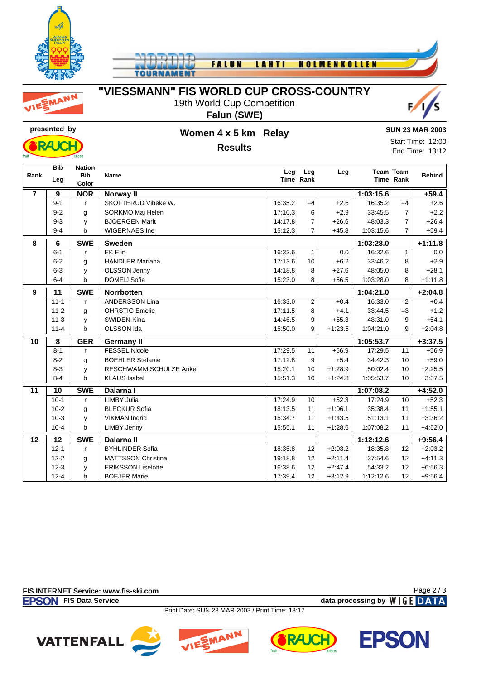

TO

FALUN **LAHTI HOLMENKOLLEN** 



### "VIESSMANN" FIS WORLD CUP CROSS-COUNTRY

19th World Cup Competition Falun (SWE)





### Women 4 x 5 km Relay **Results**

#### **SUN 23 MAR 2003**

Start Time: 12:00 End Time: 13:12

|                | <b>Bib</b> | <b>Nation</b> |                               |         |                  |           |           |                               |               |
|----------------|------------|---------------|-------------------------------|---------|------------------|-----------|-----------|-------------------------------|---------------|
| Rank           | Leg        | <b>Bib</b>    | <b>Name</b>                   | Leg     | Leg<br>Time Rank | Leg       |           | <b>Team Team</b><br>Time Rank | <b>Behind</b> |
|                |            | Color         |                               |         |                  |           |           |                               |               |
| $\overline{7}$ | 9          | <b>NOR</b>    | Norway II                     |         |                  |           | 1:03:15.6 |                               | $+59.4$       |
|                | $9 - 1$    | $\mathbf{r}$  | SKOFTERUD Vibeke W.           | 16:35.2 | $=4$             | $+2.6$    | 16:35.2   | $=4$                          | $+2.6$        |
|                | $9 - 2$    | g             | SORKMO Maj Helen              | 17:10.3 | 6                | $+2.9$    | 33:45.5   | $\overline{7}$                | $+2.2$        |
|                | $9 - 3$    | y             | <b>BJOERGEN Marit</b>         | 14:17.8 | 7                | $+26.6$   | 48:03.3   | $\overline{7}$                | $+26.4$       |
|                | $9 - 4$    | b             | <b>WIGERNAES Ine</b>          | 15:12.3 | $\overline{7}$   | $+45.8$   | 1:03:15.6 | 7                             | $+59.4$       |
| 8              | 6          | <b>SWE</b>    | <b>Sweden</b>                 |         |                  |           | 1:03:28.0 |                               | $+1:11.8$     |
|                | $6 - 1$    | $\mathsf{r}$  | <b>EK Elin</b>                | 16:32.6 | $\mathbf{1}$     | 0.0       | 16:32.6   | $\mathbf{1}$                  | 0.0           |
|                | $6 - 2$    | g             | <b>HANDLER Mariana</b>        | 17:13.6 | 10               | $+6.2$    | 33:46.2   | 8                             | $+2.9$        |
|                | $6 - 3$    | y             | <b>OLSSON Jenny</b>           | 14:18.8 | 8                | $+27.6$   | 48:05.0   | 8                             | $+28.1$       |
|                | $6 - 4$    | b             | <b>DOMEIJ Sofia</b>           | 15:23.0 | 8                | $+56.5$   | 1:03:28.0 | 8                             | $+1:11.8$     |
| 9              | 11         | <b>SWE</b>    | <b>Norrbotten</b>             |         |                  |           | 1:04:21.0 |                               | $+2:04.8$     |
|                | $11 - 1$   | $\mathsf{r}$  | <b>ANDERSSON Lina</b>         | 16:33.0 | $\overline{c}$   | $+0.4$    | 16:33.0   | $\overline{2}$                | $+0.4$        |
|                | $11 - 2$   | g             | <b>OHRSTIG Emelie</b>         | 17:11.5 | 8                | $+4.1$    | 33:44.5   | $=3$                          | $+1.2$        |
|                | $11 - 3$   | y             | <b>SWIDEN Kina</b>            | 14:46.5 | 9                | $+55.3$   | 48:31.0   | 9                             | $+54.1$       |
|                | $11 - 4$   | b             | <b>OLSSON Ida</b>             | 15:50.0 | 9                | $+1:23.5$ | 1:04:21.0 | 9                             | $+2:04.8$     |
| 10             | 8          | <b>GER</b>    | <b>Germany II</b>             |         |                  |           | 1:05:53.7 |                               | $+3:37.5$     |
|                | $8 - 1$    | $\mathbf{r}$  | <b>FESSEL Nicole</b>          | 17:29.5 | 11               | $+56.9$   | 17:29.5   | 11                            | $+56.9$       |
|                | $8 - 2$    | g             | <b>BOEHLER Stefanie</b>       | 17:12.8 | 9                | $+5.4$    | 34:42.3   | 10                            | $+59.0$       |
|                | $8 - 3$    | y             | <b>RESCHWAMM SCHULZE Anke</b> | 15:20.1 | 10               | $+1:28.9$ | 50:02.4   | 10                            | $+2:25.5$     |
|                | $8 - 4$    | þ             | <b>KLAUS Isabel</b>           | 15:51.3 | 10               | $+1:24.8$ | 1:05:53.7 | 10                            | $+3:37.5$     |
| 11             | 10         | <b>SWE</b>    | Dalarna I                     |         |                  |           | 1:07:08.2 |                               | $+4:52.0$     |
|                | $10-1$     | $\mathsf{r}$  | <b>LIMBY Julia</b>            | 17:24.9 | 10               | $+52.3$   | 17:24.9   | 10                            | $+52.3$       |
|                | $10 - 2$   | g             | <b>BLECKUR Sofia</b>          | 18:13.5 | 11               | $+1:06.1$ | 35:38.4   | 11                            | $+1:55.1$     |
|                | $10-3$     | y             | <b>VIKMAN Ingrid</b>          | 15:34.7 | 11               | $+1:43.5$ | 51:13.1   | 11                            | $+3:36.2$     |
|                | $10 - 4$   | b             | <b>LIMBY Jenny</b>            | 15:55.1 | 11               | $+1:28.6$ | 1:07:08.2 | 11                            | $+4:52.0$     |
| 12             | 12         | <b>SWE</b>    | Dalarna II                    |         |                  |           | 1:12:12.6 |                               | +9:56.4       |
|                | $12 - 1$   | $\mathsf{r}$  | <b>BYHLINDER Sofia</b>        | 18:35.8 | 12               | $+2:03.2$ | 18:35.8   | 12                            | $+2:03.2$     |
|                | $12 - 2$   | g             | <b>MATTSSON Christina</b>     | 19:18.8 | 12               | $+2:11.4$ | 37:54.6   | 12                            | $+4:11.3$     |
|                | $12 - 3$   | y             | <b>ERIKSSON Liselotte</b>     | 16:38.6 | 12               | $+2:47.4$ | 54:33.2   | 12                            | $+6.56.3$     |
|                | $12 - 4$   | b             | <b>BOEJER Marie</b>           | 17:39.4 | 12               | $+3:12.9$ | 1:12:12.6 | 12                            | $+9.56.4$     |

FIS INTERNET Service: www.fis-ski.com

**EPSON** FIS Data Service

Page 2/3 data processing by WIGE DATA

Print Date: SUN 23 MAR 2003 / Print Time: 13:17